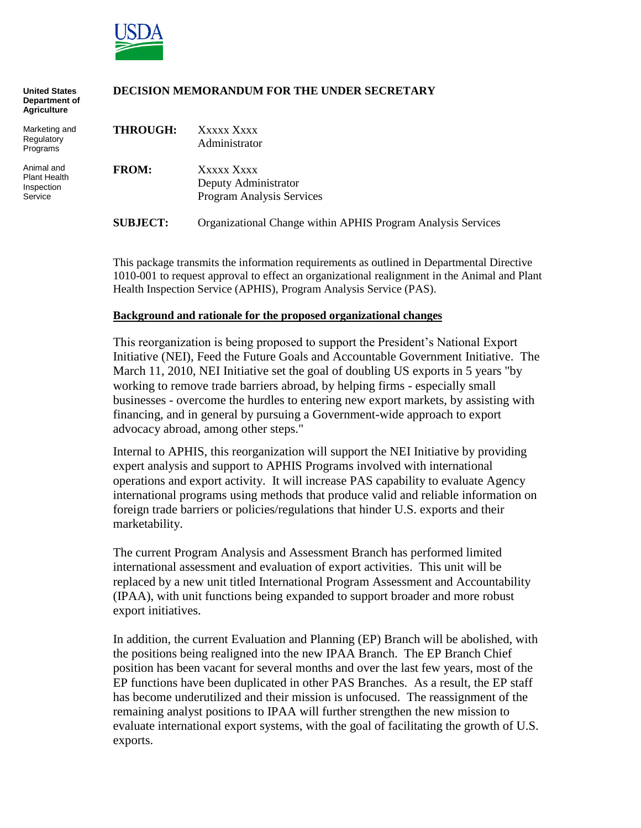

| <b>United States</b><br>Department of<br><b>Agriculture</b> | DECISION MEMORANDUM FOR THE UNDER SECRETARY |                                                                 |  |  |
|-------------------------------------------------------------|---------------------------------------------|-----------------------------------------------------------------|--|--|
| Marketing and<br>Regulatory<br>Programs                     | <b>THROUGH:</b>                             | Xxxxx Xxxx<br>Administrator                                     |  |  |
| Animal and<br><b>Plant Health</b><br>Inspection<br>Service  | <b>FROM:</b>                                | Xxxxx Xxxx<br>Deputy Administrator<br>Program Analysis Services |  |  |
|                                                             | <b>SUBJECT:</b>                             | Organizational Change within APHIS Program Analysis Services    |  |  |

This package transmits the information requirements as outlined in Departmental Directive 1010-001 to request approval to effect an organizational realignment in the Animal and Plant Health Inspection Service (APHIS), Program Analysis Service (PAS).

#### **Background and rationale for the proposed organizational changes**

This reorganization is being proposed to support the President's National Export Initiative (NEI), Feed the Future Goals and Accountable Government Initiative. The March 11, 2010, NEI Initiative set the goal of doubling US exports in 5 years "by working to remove trade barriers abroad, by helping firms - especially small businesses - overcome the hurdles to entering new export markets, by assisting with financing, and in general by pursuing a Government-wide approach to export advocacy abroad, among other steps."

Internal to APHIS, this reorganization will support the NEI Initiative by providing expert analysis and support to APHIS Programs involved with international operations and export activity. It will increase PAS capability to evaluate Agency international programs using methods that produce valid and reliable information on foreign trade barriers or policies/regulations that hinder U.S. exports and their marketability.

The current Program Analysis and Assessment Branch has performed limited international assessment and evaluation of export activities. This unit will be replaced by a new unit titled International Program Assessment and Accountability (IPAA), with unit functions being expanded to support broader and more robust export initiatives.

In addition, the current Evaluation and Planning (EP) Branch will be abolished, with the positions being realigned into the new IPAA Branch. The EP Branch Chief position has been vacant for several months and over the last few years, most of the EP functions have been duplicated in other PAS Branches. As a result, the EP staff has become underutilized and their mission is unfocused. The reassignment of the remaining analyst positions to IPAA will further strengthen the new mission to evaluate international export systems, with the goal of facilitating the growth of U.S. exports.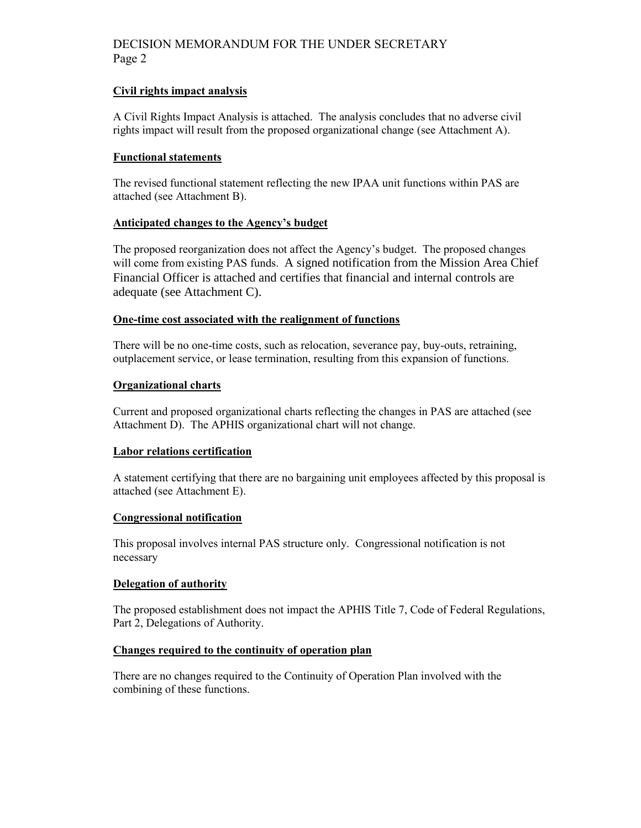# DECISION MEMORANDUM FOR THE UNDER SECRETARY Page 2

#### **Civil rights impact analysis**

A Civil Rights Impact Analysis is attached. The analysis concludes that no adverse civil rights impact will result from the proposed organizational change (see Attachment A).

#### **Functional statements**

The revised functional statement reflecting the new IPAA unit functions within PAS are attached (see Attachment B).

#### **Anticipated changes to the Agency's budget**

The proposed reorganization does not affect the Agency's budget. The proposed changes will come from existing PAS funds. A signed notification from the Mission Area Chief Financial Officer is attached and certifies that financial and internal controls are adequate (see Attachment C).

#### **One-time cost associated with the realignment of functions**

There will be no one-time costs, such as relocation, severance pay, buy-outs, retraining, outplacement service, or lease termination, resulting from this expansion of functions.

### **Organizational charts**

Current and proposed organizational charts reflecting the changes in PAS are attached (see Attachment D). The APHIS organizational chart will not change.

#### **Labor relations certification**

A statement certifying that there are no bargaining unit employees affected by this proposal is attached (see Attachment E).

#### **Congressional notification**

This proposal involves internal PAS structure only. Congressional notification is not necessary

#### **Delegation of authority**

The proposed establishment does not impact the APHIS Title 7, Code of Federal Regulations, Part 2, Delegations of Authority.

#### **Changes required to the continuity of operation plan**

There are no changes required to the Continuity of Operation Plan involved with the combining of these functions.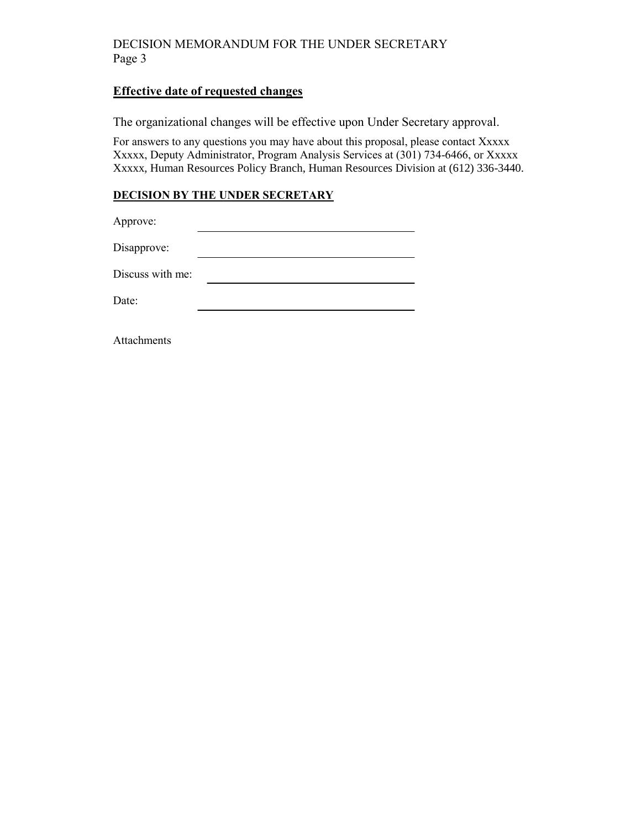# DECISION MEMORANDUM FOR THE UNDER SECRETARY Page 3

# **Effective date of requested changes**

The organizational changes will be effective upon Under Secretary approval.

For answers to any questions you may have about this proposal, please contact Xxxxx Xxxxx, Deputy Administrator, Program Analysis Services at (301) 734-6466, or Xxxxx Xxxxx, Human Resources Policy Branch, Human Resources Division at (612) 336-3440.

## **DECISION BY THE UNDER SECRETARY**

Approve:

Disapprove: <u> 1989 - Johann Barbara, martxa alemaniar a</u>

Discuss with me: <u> 1989 - Johann Barn, mars eta bainar eta baina eta baina eta baina eta baina eta baina eta baina eta baina e</u>

Date:

Attachments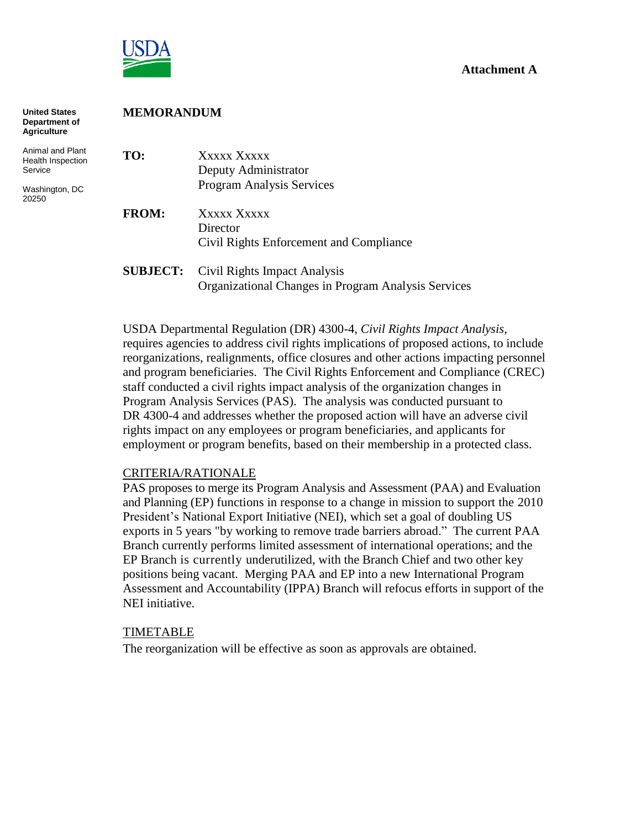

# **Attachment A**

| <b>United States</b><br>Department of<br><b>Agriculture</b> | <b>MEMORANDUM</b> |                                                                                     |  |  |  |
|-------------------------------------------------------------|-------------------|-------------------------------------------------------------------------------------|--|--|--|
| Animal and Plant<br>Health Inspection<br>Service            | TO:               | Xxxxx Xxxxx<br>Deputy Administrator                                                 |  |  |  |
| Washington, DC<br>20250                                     |                   | Program Analysis Services                                                           |  |  |  |
|                                                             | <b>FROM:</b>      | Xxxxx Xxxxx                                                                         |  |  |  |
|                                                             |                   | Director                                                                            |  |  |  |
|                                                             |                   | Civil Rights Enforcement and Compliance                                             |  |  |  |
|                                                             | <b>SUBJECT:</b>   | Civil Rights Impact Analysis<br>Organizational Changes in Program Analysis Services |  |  |  |

USDA Departmental Regulation (DR) 4300-4, *Civil Rights Impact Analysis*, requires agencies to address civil rights implications of proposed actions, to include reorganizations, realignments, office closures and other actions impacting personnel and program beneficiaries. The Civil Rights Enforcement and Compliance (CREC) staff conducted a civil rights impact analysis of the organization changes in Program Analysis Services (PAS). The analysis was conducted pursuant to DR 4300-4 and addresses whether the proposed action will have an adverse civil rights impact on any employees or program beneficiaries, and applicants for employment or program benefits, based on their membership in a protected class.

#### CRITERIA/RATIONALE

PAS proposes to merge its Program Analysis and Assessment (PAA) and Evaluation and Planning (EP) functions in response to a change in mission to support the 2010 President's National Export Initiative (NEI), which set a goal of doubling US exports in 5 years "by working to remove trade barriers abroad." The current PAA Branch currently performs limited assessment of international operations; and the EP Branch is currently underutilized, with the Branch Chief and two other key positions being vacant. Merging PAA and EP into a new International Program Assessment and Accountability (IPPA) Branch will refocus efforts in support of the NEI initiative.

#### TIMETABLE

The reorganization will be effective as soon as approvals are obtained.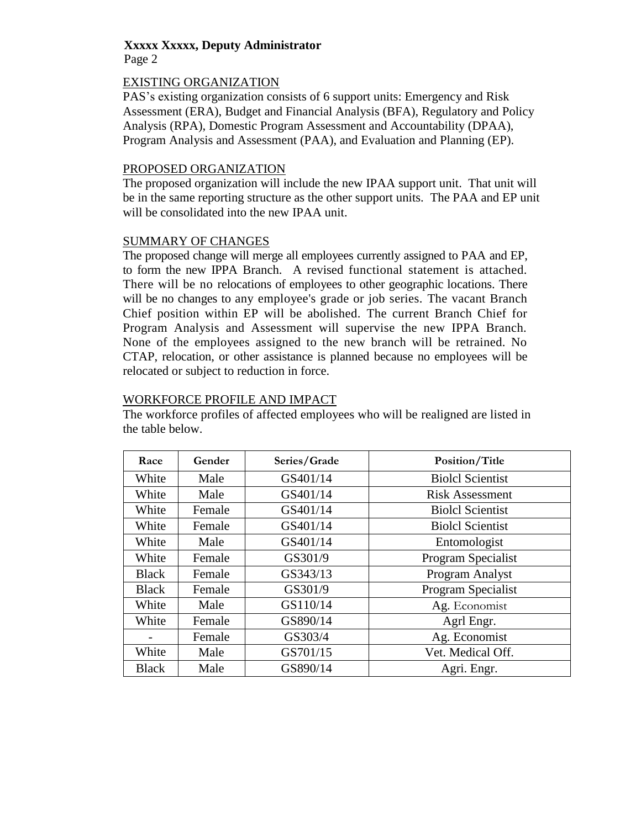### **Xxxxx Xxxxx, Deputy Administrator** Page 2

# EXISTING ORGANIZATION

PAS's existing organization consists of 6 support units: Emergency and Risk Assessment (ERA), Budget and Financial Analysis (BFA), Regulatory and Policy Analysis (RPA), Domestic Program Assessment and Accountability (DPAA), Program Analysis and Assessment (PAA), and Evaluation and Planning (EP).

## PROPOSED ORGANIZATION

The proposed organization will include the new IPAA support unit. That unit will be in the same reporting structure as the other support units. The PAA and EP unit will be consolidated into the new IPAA unit.

# SUMMARY OF CHANGES

The proposed change will merge all employees currently assigned to PAA and EP, to form the new IPPA Branch. A revised functional statement is attached. There will be no relocations of employees to other geographic locations. There will be no changes to any employee's grade or job series. The vacant Branch Chief position within EP will be abolished. The current Branch Chief for Program Analysis and Assessment will supervise the new IPPA Branch. None of the employees assigned to the new branch will be retrained. No CTAP, relocation, or other assistance is planned because no employees will be relocated or subject to reduction in force.

# WORKFORCE PROFILE AND IMPACT

The workforce profiles of affected employees who will be realigned are listed in the table below.

| Race         | Gender | Series/Grade | Position/Title          |
|--------------|--------|--------------|-------------------------|
| White        | Male   | GS401/14     | <b>Biolcl Scientist</b> |
| White        | Male   | GS401/14     | <b>Risk Assessment</b>  |
| White        | Female | GS401/14     | <b>Biolcl Scientist</b> |
| White        | Female | GS401/14     | <b>Biolcl Scientist</b> |
| White        | Male   | GS401/14     | Entomologist            |
| White        | Female | GS301/9      | Program Specialist      |
| <b>Black</b> | Female | GS343/13     | Program Analyst         |
| <b>Black</b> | Female | GS301/9      | Program Specialist      |
| White        | Male   | GS110/14     | Ag. Economist           |
| White        | Female | GS890/14     | Agrl Engr.              |
|              | Female | GS303/4      | Ag. Economist           |
| White        | Male   | GS701/15     | Vet. Medical Off.       |
| <b>Black</b> | Male   | GS890/14     | Agri. Engr.             |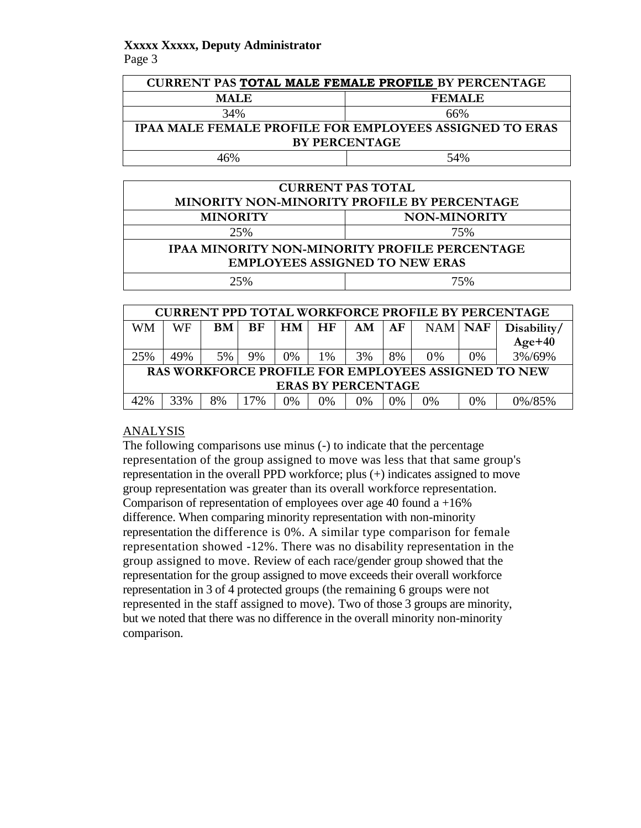# **Xxxxx Xxxxx, Deputy Administrator** Page 3

| <b>CURRENT PAS TOTAL MALE FEMALE PROFILE BY PERCENTAGE</b>     |               |  |  |  |
|----------------------------------------------------------------|---------------|--|--|--|
| <b>MALE</b>                                                    | <b>FEMALE</b> |  |  |  |
| 34%                                                            | 66%           |  |  |  |
| <b>IPAA MALE FEMALE PROFILE FOR EMPLOYEES ASSIGNED TO ERAS</b> |               |  |  |  |
| <b>BY PERCENTAGE</b>                                           |               |  |  |  |
| 16%                                                            | 54%           |  |  |  |

| <b>CURRENT PAS TOTAL</b>                             |     |  |  |  |
|------------------------------------------------------|-----|--|--|--|
| MINORITY NON-MINORITY PROFILE BY PERCENTAGE          |     |  |  |  |
| <b>MINORITY</b><br><b>NON-MINORITY</b>               |     |  |  |  |
| 25%                                                  | 75% |  |  |  |
| <b>IPAA MINORITY NON-MINORITY PROFILE PERCENTAGE</b> |     |  |  |  |
| <b>EMPLOYEES ASSIGNED TO NEW ERAS</b>                |     |  |  |  |
| 25%<br>75%                                           |     |  |  |  |

|                           | <b>CURRENT PPD TOTAL WORKFORCE PROFILE BY PERCENTAGE</b> |           |           |    |    |    |    |         |    |             |
|---------------------------|----------------------------------------------------------|-----------|-----------|----|----|----|----|---------|----|-------------|
| <b>WM</b>                 | WF                                                       | <b>BM</b> | <b>BF</b> | HM | HF | AM | AF | NAM NAF |    | Disability/ |
|                           |                                                          |           |           |    |    |    |    |         |    | $Age+40$    |
| 25%                       | 49%                                                      | 5%        | 9%        | 0% | 1% | 3% | 8% | 0%      | 0% | 3%/69%      |
|                           | RAS WORKFORCE PROFILE FOR EMPLOYEES ASSIGNED TO NEW      |           |           |    |    |    |    |         |    |             |
| <b>ERAS BY PERCENTAGE</b> |                                                          |           |           |    |    |    |    |         |    |             |
| 42%                       | 33%                                                      | 8%        | 17%       | 0% | 0% | 0% | 0% | 0%      | 0% | 0%/85%      |

# ANALYSIS

The following comparisons use minus (-) to indicate that the percentage representation of the group assigned to move was less that that same group's representation in the overall PPD workforce; plus (+) indicates assigned to move group representation was greater than its overall workforce representation. Comparison of representation of employees over age 40 found a  $+16\%$ difference. When comparing minority representation with non-minority representation the difference is 0%. A similar type comparison for female representation showed -12%. There was no disability representation in the group assigned to move. Review of each race/gender group showed that the representation for the group assigned to move exceeds their overall workforce representation in 3 of 4 protected groups (the remaining 6 groups were not represented in the staff assigned to move). Two of those 3 groups are minority, but we noted that there was no difference in the overall minority non-minority comparison.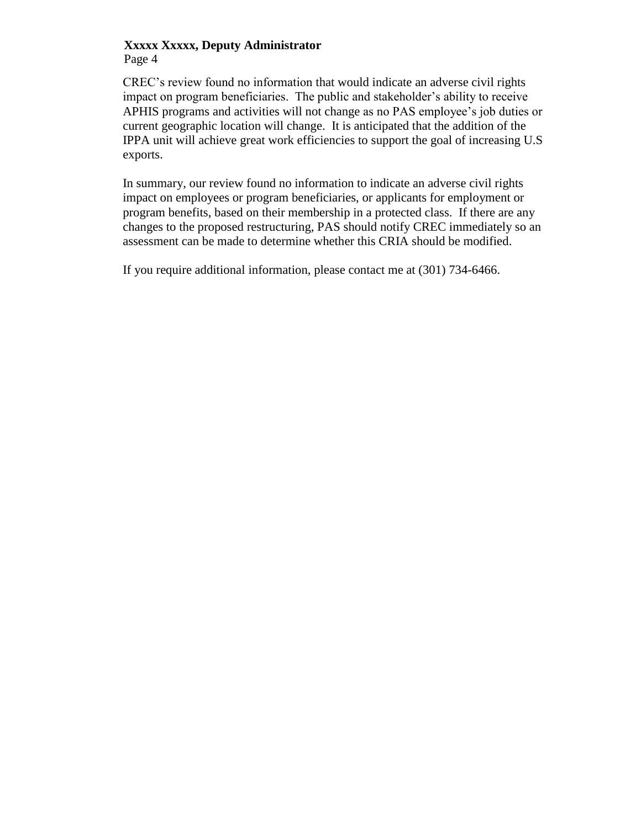## **Xxxxx Xxxxx, Deputy Administrator** Page 4

CREC's review found no information that would indicate an adverse civil rights impact on program beneficiaries. The public and stakeholder's ability to receive APHIS programs and activities will not change as no PAS employee's job duties or current geographic location will change. It is anticipated that the addition of the IPPA unit will achieve great work efficiencies to support the goal of increasing U.S exports.

In summary, our review found no information to indicate an adverse civil rights impact on employees or program beneficiaries, or applicants for employment or program benefits, based on their membership in a protected class. If there are any changes to the proposed restructuring, PAS should notify CREC immediately so an assessment can be made to determine whether this CRIA should be modified.

If you require additional information, please contact me at (301) 734-6466.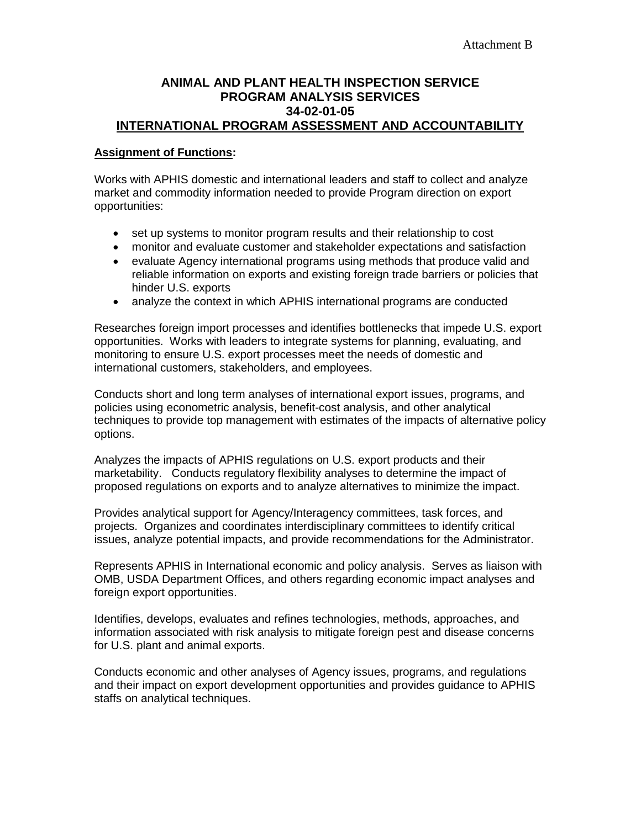# **ANIMAL AND PLANT HEALTH INSPECTION SERVICE PROGRAM ANALYSIS SERVICES 34-02-01-05 INTERNATIONAL PROGRAM ASSESSMENT AND ACCOUNTABILITY**

### **Assignment of Functions:**

Works with APHIS domestic and international leaders and staff to collect and analyze market and commodity information needed to provide Program direction on export opportunities:

- set up systems to monitor program results and their relationship to cost
- monitor and evaluate customer and stakeholder expectations and satisfaction
- evaluate Agency international programs using methods that produce valid and reliable information on exports and existing foreign trade barriers or policies that hinder U.S. exports
- analyze the context in which APHIS international programs are conducted

Researches foreign import processes and identifies bottlenecks that impede U.S. export opportunities. Works with leaders to integrate systems for planning, evaluating, and monitoring to ensure U.S. export processes meet the needs of domestic and international customers, stakeholders, and employees.

Conducts short and long term analyses of international export issues, programs, and policies using econometric analysis, benefit-cost analysis, and other analytical techniques to provide top management with estimates of the impacts of alternative policy options.

Analyzes the impacts of APHIS regulations on U.S. export products and their marketability. Conducts regulatory flexibility analyses to determine the impact of proposed regulations on exports and to analyze alternatives to minimize the impact.

Provides analytical support for Agency/Interagency committees, task forces, and projects. Organizes and coordinates interdisciplinary committees to identify critical issues, analyze potential impacts, and provide recommendations for the Administrator.

Represents APHIS in International economic and policy analysis. Serves as liaison with OMB, USDA Department Offices, and others regarding economic impact analyses and foreign export opportunities.

Identifies, develops, evaluates and refines technologies, methods, approaches, and information associated with risk analysis to mitigate foreign pest and disease concerns for U.S. plant and animal exports.

Conducts economic and other analyses of Agency issues, programs, and regulations and their impact on export development opportunities and provides guidance to APHIS staffs on analytical techniques.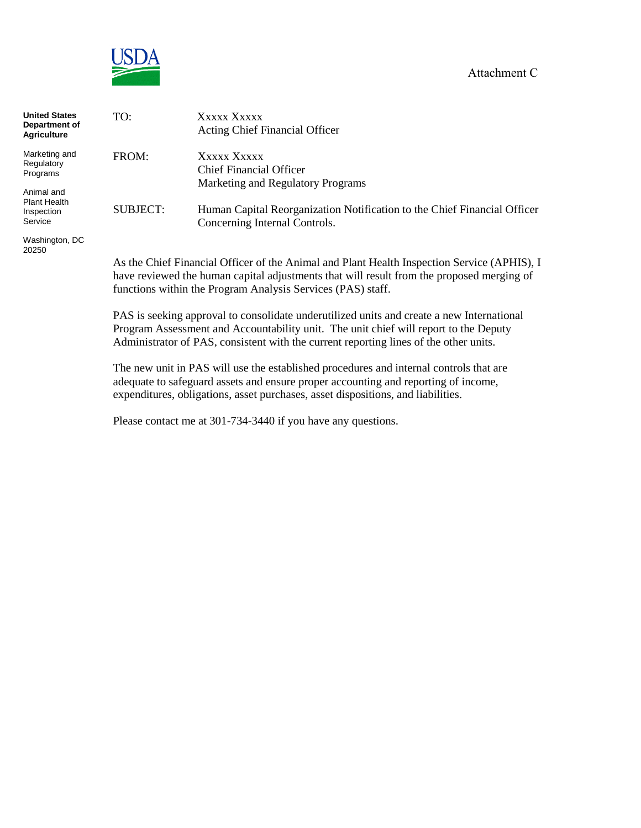#### Attachment C



| <b>United States</b><br>Department of<br>Agriculture | TO:             | Xxxxx Xxxxx<br><b>Acting Chief Financial Officer</b>                                       |
|------------------------------------------------------|-----------------|--------------------------------------------------------------------------------------------|
| Marketing and                                        | FROM:           | Xxxxx Xxxxx                                                                                |
| Regulatory<br>Programs                               |                 | Chief Financial Officer                                                                    |
|                                                      |                 | Marketing and Regulatory Programs                                                          |
| Animal and                                           |                 |                                                                                            |
| Plant Health<br>Inspection                           | <b>SUBJECT:</b> | Human Capital Reorganization Notification to the Chief Financial Officer                   |
| Service                                              |                 | Concerning Internal Controls.                                                              |
| Washington, DC<br>20250                              |                 |                                                                                            |
|                                                      |                 | As the Chief Einancial Officer of the Animal and Plant Health Inspection Service (APHIS) I |

As the Chief Financial Officer of the Animal and Plant Health Inspection Service (APHIS), I have reviewed the human capital adjustments that will result from the proposed merging of functions within the Program Analysis Services (PAS) staff.

PAS is seeking approval to consolidate underutilized units and create a new International Program Assessment and Accountability unit. The unit chief will report to the Deputy Administrator of PAS, consistent with the current reporting lines of the other units.

The new unit in PAS will use the established procedures and internal controls that are adequate to safeguard assets and ensure proper accounting and reporting of income, expenditures, obligations, asset purchases, asset dispositions, and liabilities.

Please contact me at 301-734-3440 if you have any questions.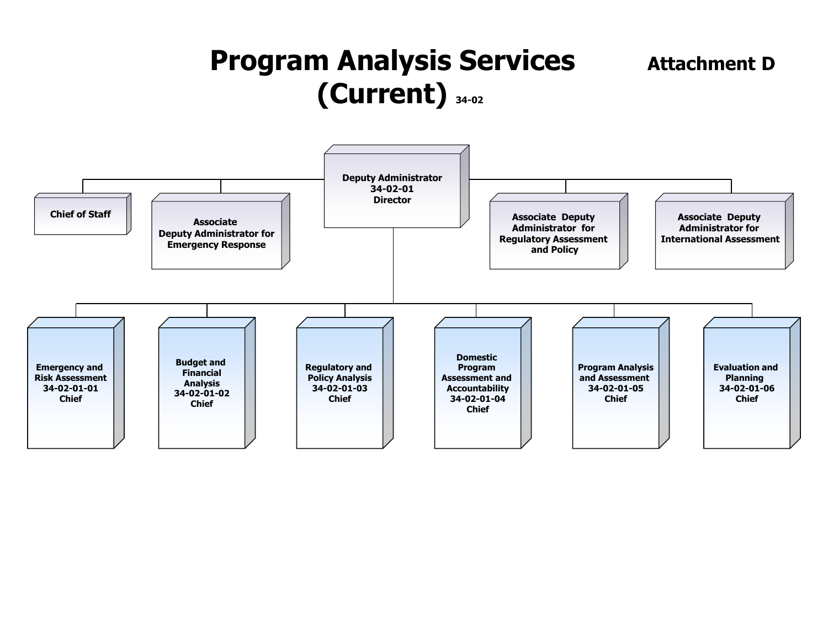# **Program Analysis Services** Attachment D **(Current) 34-02**

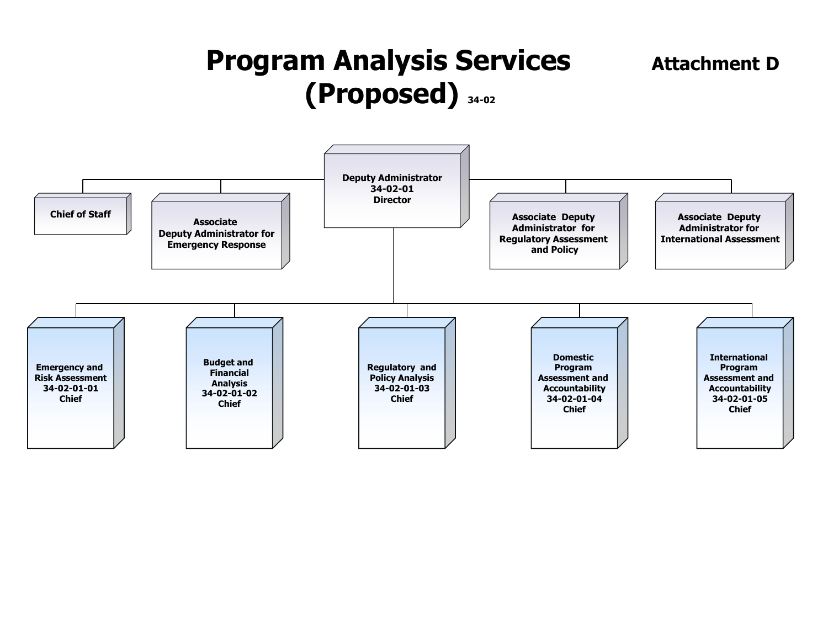# **Program Analysis Services** Attachment D **(Proposed) 34-02**